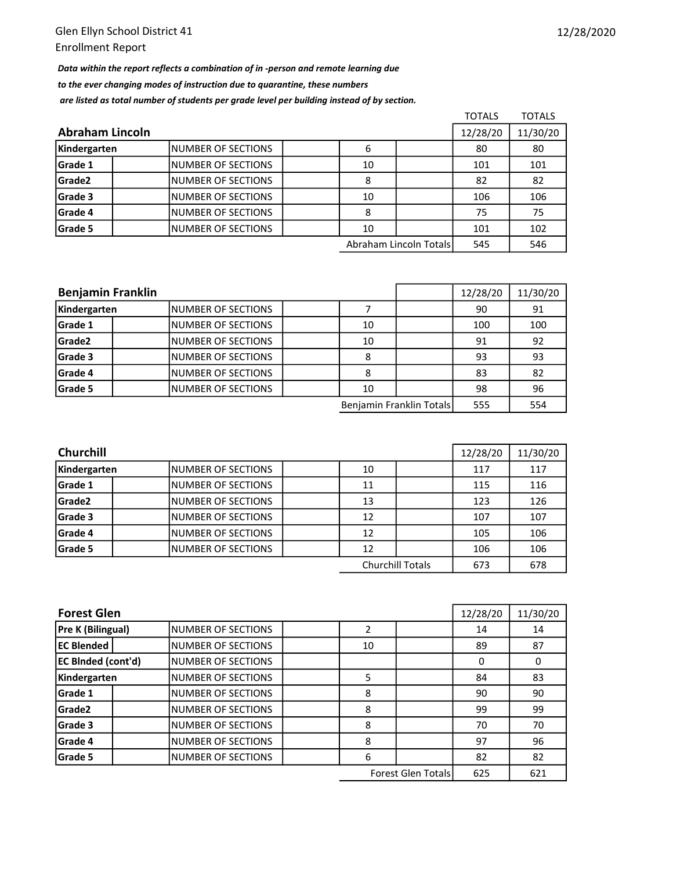Data within the report reflects a combination of in -person and remote learning due to the ever changing modes of instruction due to quarantine, these numbers are listed as total number of students per grade level per building instead of by section.

|                        |                           |          |                        | <b>TOTALS</b> | <b>TOTALS</b> |
|------------------------|---------------------------|----------|------------------------|---------------|---------------|
| <b>Abraham Lincoln</b> | 12/28/20                  | 11/30/20 |                        |               |               |
| Kindergarten           | INUMBER OF SECTIONS       | 6        |                        | 80            | 80            |
| Grade 1                | <b>NUMBER OF SECTIONS</b> | 10       |                        | 101           | 101           |
| Grade2                 | INUMBER OF SECTIONS       | 8        |                        | 82            | 82            |
| Grade 3                | INUMBER OF SECTIONS       | 10       |                        | 106           | 106           |
| Grade 4                | <b>NUMBER OF SECTIONS</b> | 8        |                        | 75            | 75            |
| Grade 5                | INUMBER OF SECTIONS       | 10       |                        | 101           | 102           |
|                        |                           |          | Abraham Lincoln Totals | 545           | 546           |

| <b>Benjamin Franklin</b> |                           |    | 12/28/20                 | 11/30/20 |     |
|--------------------------|---------------------------|----|--------------------------|----------|-----|
| Kindergarten             | <b>NUMBER OF SECTIONS</b> |    |                          | 90       | 91  |
| Grade 1                  | INUMBER OF SECTIONS       | 10 |                          | 100      | 100 |
| Grade2                   | INUMBER OF SECTIONS       | 10 |                          | 91       | 92  |
| Grade 3                  | <b>NUMBER OF SECTIONS</b> | 8  |                          | 93       | 93  |
| Grade 4                  | INUMBER OF SECTIONS       | 8  |                          | 83       | 82  |
| Grade 5                  | INUMBER OF SECTIONS       | 10 |                          | 98       | 96  |
|                          |                           |    | Benjamin Franklin Totals | 555      | 554 |

| <b>Churchill</b> | 12/28/20                  | 11/30/20 |                         |     |     |
|------------------|---------------------------|----------|-------------------------|-----|-----|
| Kindergarten     | INUMBER OF SECTIONS       | 10       |                         | 117 | 117 |
| <b>Grade 1</b>   | INUMBER OF SECTIONS       | 11       |                         | 115 | 116 |
| Grade2           | INUMBER OF SECTIONS       | 13       |                         | 123 | 126 |
| Grade 3          | <b>NUMBER OF SECTIONS</b> | 12       |                         | 107 | 107 |
| <b>Grade 4</b>   | INUMBER OF SECTIONS       | 12       |                         | 105 | 106 |
| <b>Grade 5</b>   | INUMBER OF SECTIONS       | 12       |                         | 106 | 106 |
|                  |                           |          | <b>Churchill Totals</b> | 673 | 678 |

| <b>Forest Glen</b>        |  |                           |  |    |                           |     | 11/30/20 |
|---------------------------|--|---------------------------|--|----|---------------------------|-----|----------|
| Pre K (Bilingual)         |  | NUMBER OF SECTIONS        |  |    |                           | 14  | 14       |
| <b>EC Blended</b>         |  | <b>NUMBER OF SECTIONS</b> |  | 10 |                           | 89  | 87       |
| <b>EC BInded (cont'd)</b> |  | <b>NUMBER OF SECTIONS</b> |  |    |                           | 0   | 0        |
| Kindergarten              |  | <b>NUMBER OF SECTIONS</b> |  | 5  |                           | 84  | 83       |
| Grade 1                   |  | <b>NUMBER OF SECTIONS</b> |  | 8  |                           | 90  | 90       |
| Grade <sub>2</sub>        |  | <b>NUMBER OF SECTIONS</b> |  | 8  |                           | 99  | 99       |
| Grade 3                   |  | <b>NUMBER OF SECTIONS</b> |  | 8  |                           | 70  | 70       |
| Grade 4                   |  | <b>NUMBER OF SECTIONS</b> |  | 8  |                           | 97  | 96       |
| Grade 5                   |  | <b>NUMBER OF SECTIONS</b> |  | 6  |                           | 82  | 82       |
|                           |  |                           |  |    | <b>Forest Glen Totals</b> | 625 | 621      |